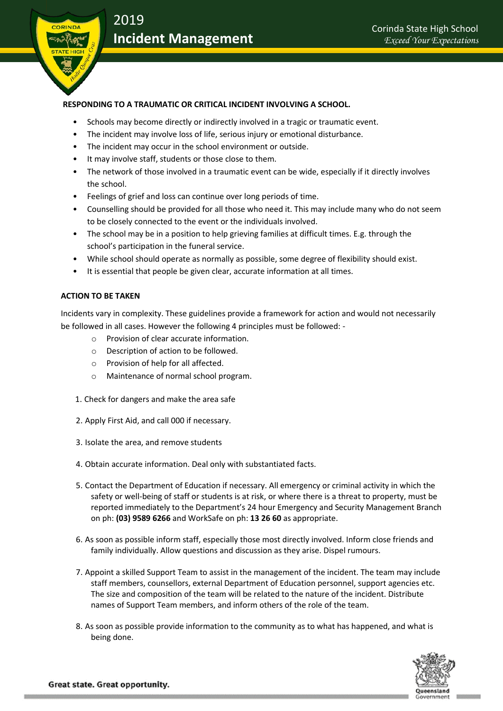

## **RESPONDING TO A TRAUMATIC OR CRITICAL INCIDENT INVOLVING A SCHOOL.**

- Schools may become directly or indirectly involved in a tragic or traumatic event.
- The incident may involve loss of life, serious injury or emotional disturbance.
- The incident may occur in the school environment or outside.
- It may involve staff, students or those close to them.
- The network of those involved in a traumatic event can be wide, especially if it directly involves the school.
- Feelings of grief and loss can continue over long periods of time.
- Counselling should be provided for all those who need it. This may include many who do not seem to be closely connected to the event or the individuals involved.
- The school may be in a position to help grieving families at difficult times. E.g. through the school's participation in the funeral service.
- While school should operate as normally as possible, some degree of flexibility should exist.
- It is essential that people be given clear, accurate information at all times.

## **ACTION TO BE TAKEN**

Incidents vary in complexity. These guidelines provide a framework for action and would not necessarily be followed in all cases. However the following 4 principles must be followed: -

- o Provision of clear accurate information.
- o Description of action to be followed.
- o Provision of help for all affected.
- o Maintenance of normal school program.
- 1. Check for dangers and make the area safe
- 2. Apply First Aid, and call 000 if necessary.
- 3. Isolate the area, and remove students
- 4. Obtain accurate information. Deal only with substantiated facts.
- 5. Contact the Department of Education if necessary. All emergency or criminal activity in which the safety or well-being of staff or students is at risk, or where there is a threat to property, must be reported immediately to the Department's 24 hour Emergency and Security Management Branch on ph: **(03) 9589 6266** and WorkSafe on ph: **13 26 60** as appropriate.
- 6. As soon as possible inform staff, especially those most directly involved. Inform close friends and family individually. Allow questions and discussion as they arise. Dispel rumours.
- 7. Appoint a skilled Support Team to assist in the management of the incident. The team may include staff members, counsellors, external Department of Education personnel, support agencies etc. The size and composition of the team will be related to the nature of the incident. Distribute names of Support Team members, and inform others of the role of the team.
- 8. As soon as possible provide information to the community as to what has happened, and what is being done.